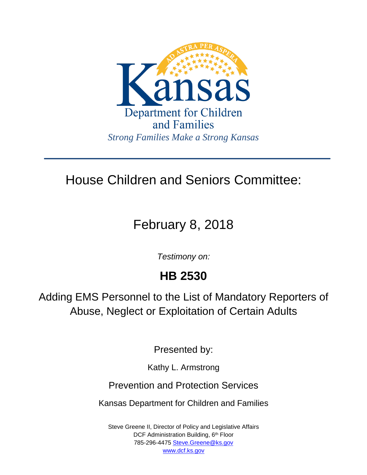

# House Children and Seniors Committee:

# February 8, 2018

*Testimony on:*

## **HB 2530**

Adding EMS Personnel to the List of Mandatory Reporters of Abuse, Neglect or Exploitation of Certain Adults

Presented by:

Kathy L. Armstrong

Prevention and Protection Services

Kansas Department for Children and Families

Steve Greene II, Director of Policy and Legislative Affairs DCF Administration Building, 6<sup>th</sup> Floor 785-296-4475 [Steve.Greene@ks.gov](mailto:Steve.Greene@ks.gov) [www.dcf.ks.gov](http://www.dcf.ks.gov/)